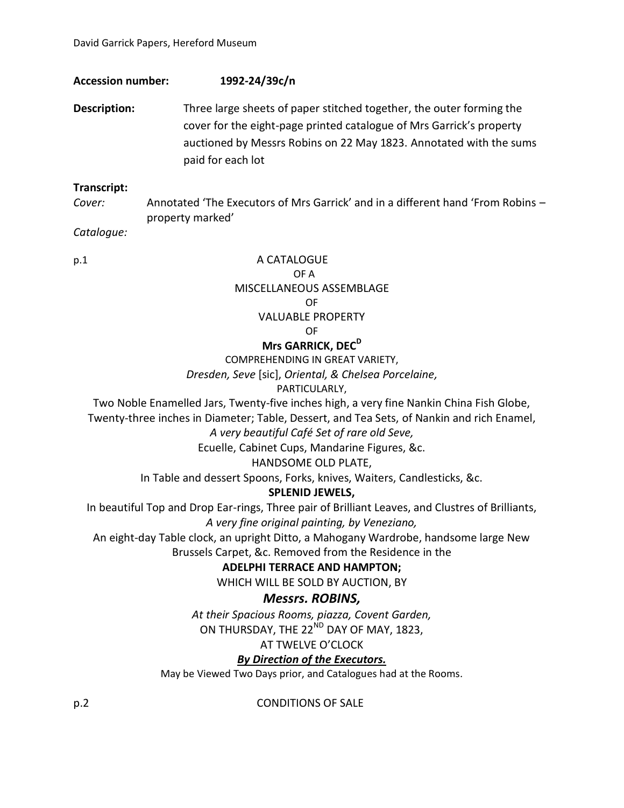## **Accession number: 1992-24/39c/n**

**Description:** Three large sheets of paper stitched together, the outer forming the cover for the eight-page printed catalogue of Mrs Garrick's property auctioned by Messrs Robins on 22 May 1823. Annotated with the sums paid for each lot

## **Transcript:**

*Cover:* Annotated 'The Executors of Mrs Garrick' and in a different hand 'From Robins – property marked'

*Catalogue:*

p.1 A CATALOGUE OF A MISCELLANEOUS ASSEMBLAGE OF VALUABLE PROPERTY OF

# **Mrs GARRICK, DEC<sup>D</sup>**

COMPREHENDING IN GREAT VARIETY,

*Dresden, Seve* [sic], *Oriental, & Chelsea Porcelaine,*

PARTICULARLY,

Two Noble Enamelled Jars, Twenty-five inches high, a very fine Nankin China Fish Globe, Twenty-three inches in Diameter; Table, Dessert, and Tea Sets, of Nankin and rich Enamel,

*A very beautiful Café Set of rare old Seve,*

Ecuelle, Cabinet Cups, Mandarine Figures, &c.

HANDSOME OLD PLATE,

In Table and dessert Spoons, Forks, knives, Waiters, Candlesticks, &c.

## **SPLENID JEWELS,**

In beautiful Top and Drop Ear-rings, Three pair of Brilliant Leaves, and Clustres of Brilliants, *A very fine original painting, by Veneziano,*

An eight-day Table clock, an upright Ditto, a Mahogany Wardrobe, handsome large New Brussels Carpet, &c. Removed from the Residence in the

## **ADELPHI TERRACE AND HAMPTON;**

WHICH WILL BE SOLD BY AUCTION, BY

# *Messrs. ROBINS,*

*At their Spacious Rooms, piazza, Covent Garden,* ON THURSDAY, THE 22<sup>ND</sup> DAY OF MAY, 1823,

### AT TWELVE O'CLOCK

# *By Direction of the Executors.*

May be Viewed Two Days prior, and Catalogues had at the Rooms.

p.2 CONDITIONS OF SALE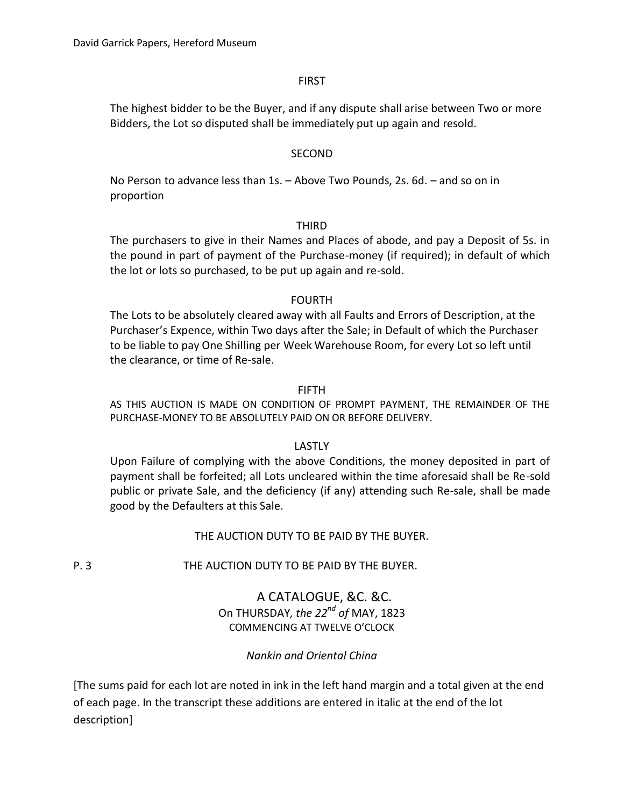#### FIRST

The highest bidder to be the Buyer, and if any dispute shall arise between Two or more Bidders, the Lot so disputed shall be immediately put up again and resold.

#### SECOND

No Person to advance less than 1s. – Above Two Pounds, 2s. 6d. – and so on in proportion

#### THIRD

The purchasers to give in their Names and Places of abode, and pay a Deposit of 5s. in the pound in part of payment of the Purchase-money (if required); in default of which the lot or lots so purchased, to be put up again and re-sold.

#### FOURTH

The Lots to be absolutely cleared away with all Faults and Errors of Description, at the Purchaser's Expence, within Two days after the Sale; in Default of which the Purchaser to be liable to pay One Shilling per Week Warehouse Room, for every Lot so left until the clearance, or time of Re-sale.

#### FIFTH

AS THIS AUCTION IS MADE ON CONDITION OF PROMPT PAYMENT, THE REMAINDER OF THE PURCHASE-MONEY TO BE ABSOLUTELY PAID ON OR BEFORE DELIVERY.

### LASTLY

Upon Failure of complying with the above Conditions, the money deposited in part of payment shall be forfeited; all Lots uncleared within the time aforesaid shall be Re-sold public or private Sale, and the deficiency (if any) attending such Re-sale, shall be made good by the Defaulters at this Sale.

### THE AUCTION DUTY TO BE PAID BY THE BUYER.

P. 3 THE AUCTION DUTY TO BE PAID BY THE BUYER.

## A CATALOGUE, &C. &C. On THURSDAY*, the 22nd of* MAY, 1823 COMMENCING AT TWELVE O'CLOCK

### *Nankin and Oriental China*

[The sums paid for each lot are noted in ink in the left hand margin and a total given at the end of each page. In the transcript these additions are entered in italic at the end of the lot description]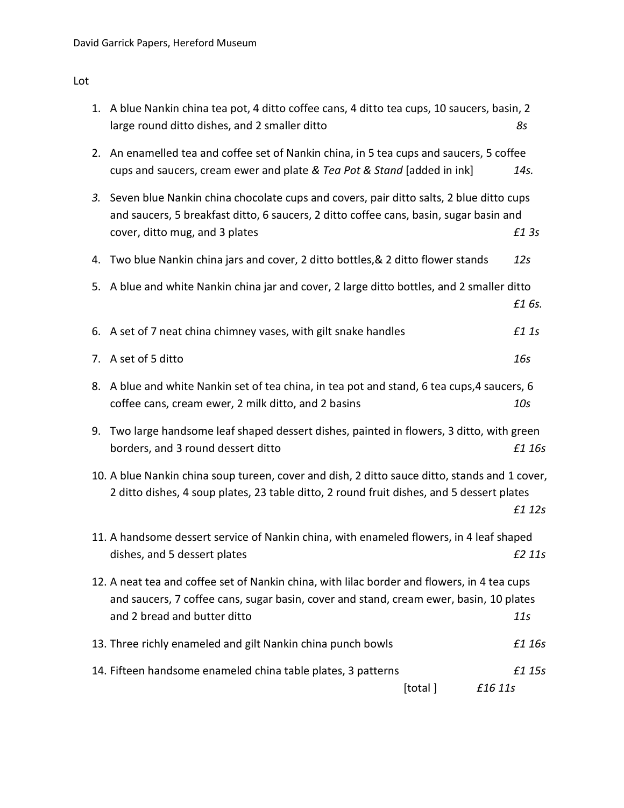Lot

|    | 1. A blue Nankin china tea pot, 4 ditto coffee cans, 4 ditto tea cups, 10 saucers, basin, 2<br>large round ditto dishes, and 2 smaller ditto                                                                          | 85              |
|----|-----------------------------------------------------------------------------------------------------------------------------------------------------------------------------------------------------------------------|-----------------|
|    | 2. An enamelled tea and coffee set of Nankin china, in 5 tea cups and saucers, 5 coffee<br>cups and saucers, cream ewer and plate & Tea Pot & Stand [added in ink]                                                    | 14s.            |
| 3. | Seven blue Nankin china chocolate cups and covers, pair ditto salts, 2 blue ditto cups<br>and saucers, 5 breakfast ditto, 6 saucers, 2 ditto coffee cans, basin, sugar basin and<br>cover, ditto mug, and 3 plates    | £1 3s           |
|    | 4. Two blue Nankin china jars and cover, 2 ditto bottles, & 2 ditto flower stands                                                                                                                                     | 12 <sub>S</sub> |
|    | 5. A blue and white Nankin china jar and cover, 2 large ditto bottles, and 2 smaller ditto                                                                                                                            | £1 6s.          |
|    | 6. A set of 7 neat china chimney vases, with gilt snake handles                                                                                                                                                       | £1 1s           |
|    | 7. A set of 5 ditto                                                                                                                                                                                                   | 16s             |
| 8. | A blue and white Nankin set of tea china, in tea pot and stand, 6 tea cups, 4 saucers, 6<br>coffee cans, cream ewer, 2 milk ditto, and 2 basins                                                                       | 10 <sub>S</sub> |
| 9. | Two large handsome leaf shaped dessert dishes, painted in flowers, 3 ditto, with green<br>borders, and 3 round dessert ditto                                                                                          | £1 16s          |
|    | 10. A blue Nankin china soup tureen, cover and dish, 2 ditto sauce ditto, stands and 1 cover,<br>2 ditto dishes, 4 soup plates, 23 table ditto, 2 round fruit dishes, and 5 dessert plates                            | £1 12s          |
|    | 11. A handsome dessert service of Nankin china, with enameled flowers, in 4 leaf shaped<br>dishes, and 5 dessert plates                                                                                               | £2 11s          |
|    | 12. A neat tea and coffee set of Nankin china, with lilac border and flowers, in 4 tea cups<br>and saucers, 7 coffee cans, sugar basin, cover and stand, cream ewer, basin, 10 plates<br>and 2 bread and butter ditto | 11s             |
|    | 13. Three richly enameled and gilt Nankin china punch bowls                                                                                                                                                           | £1 16s          |
|    | 14. Fifteen handsome enameled china table plates, 3 patterns<br>[total]<br>£16 11s                                                                                                                                    | £1 15s          |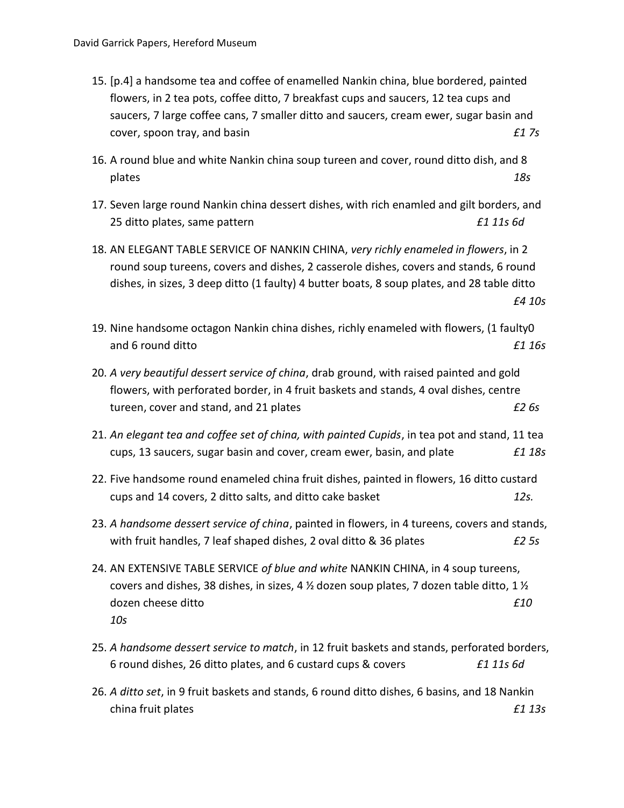- 15. [p.4] a handsome tea and coffee of enamelled Nankin china, blue bordered, painted flowers, in 2 tea pots, coffee ditto, 7 breakfast cups and saucers, 12 tea cups and saucers, 7 large coffee cans, 7 smaller ditto and saucers, cream ewer, sugar basin and cover, spoon tray, and basin *£1 7s*
- 16. A round blue and white Nankin china soup tureen and cover, round ditto dish, and 8 plates *18s*
- 17. Seven large round Nankin china dessert dishes, with rich enamled and gilt borders, and 25 ditto plates, same pattern *£1 11s 6d*
- 18. AN ELEGANT TABLE SERVICE OF NANKIN CHINA, *very richly enameled in flowers*, in 2 round soup tureens, covers and dishes, 2 casserole dishes, covers and stands, 6 round dishes, in sizes, 3 deep ditto (1 faulty) 4 butter boats, 8 soup plates, and 28 table ditto *£4 10s*
- 19. Nine handsome octagon Nankin china dishes, richly enameled with flowers, (1 faulty0 and 6 round ditto *£1 16s*
- 20. *A very beautiful dessert service of china*, drab ground, with raised painted and gold flowers, with perforated border, in 4 fruit baskets and stands, 4 oval dishes, centre tureen, cover and stand, and 21 plates *£2 6s*
- 21. *An elegant tea and coffee set of china, with painted Cupids*, in tea pot and stand, 11 tea cups, 13 saucers, sugar basin and cover, cream ewer, basin, and plate *£1 18s*
- 22. Five handsome round enameled china fruit dishes, painted in flowers, 16 ditto custard cups and 14 covers, 2 ditto salts, and ditto cake basket *12s.*
- 23. *A handsome dessert service of china*, painted in flowers, in 4 tureens, covers and stands, with fruit handles, 7 leaf shaped dishes, 2 oval ditto & 36 plates *£2 5s*
- 24. AN EXTENSIVE TABLE SERVICE *of blue and white* NANKIN CHINA, in 4 soup tureens, covers and dishes, 38 dishes, in sizes, 4  $\frac{1}{2}$  dozen soup plates, 7 dozen table ditto, 1  $\frac{1}{2}$ dozen cheese ditto *£10 10s*
- 25. *A handsome dessert service to match*, in 12 fruit baskets and stands, perforated borders, 6 round dishes, 26 ditto plates, and 6 custard cups & covers *£1 11s 6d*
- 26. *A ditto set*, in 9 fruit baskets and stands, 6 round ditto dishes, 6 basins, and 18 Nankin china fruit plates *£1 13s*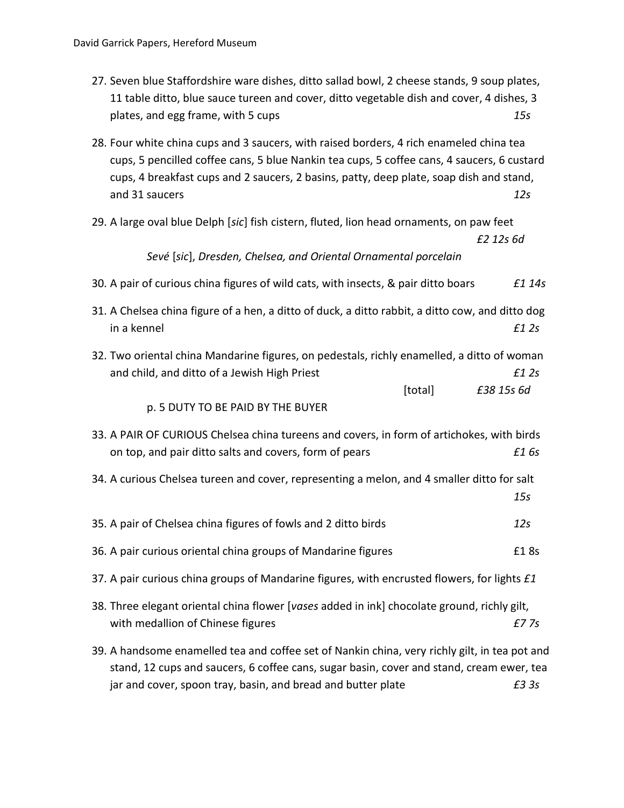| 27. Seven blue Staffordshire ware dishes, ditto sallad bowl, 2 cheese stands, 9 soup plates, |     |
|----------------------------------------------------------------------------------------------|-----|
| 11 table ditto, blue sauce tureen and cover, ditto vegetable dish and cover, 4 dishes, 3     |     |
| plates, and egg frame, with 5 cups                                                           | 15s |

- 28. Four white china cups and 3 saucers, with raised borders, 4 rich enameled china tea cups, 5 pencilled coffee cans, 5 blue Nankin tea cups, 5 coffee cans, 4 saucers, 6 custard cups, 4 breakfast cups and 2 saucers, 2 basins, patty, deep plate, soap dish and stand, and 31 saucers *12s*
- 29. A large oval blue Delph [*sic*] fish cistern, fluted, lion head ornaments, on paw feet

```
£2 12s 6d
```
*Sevé* [*sic*], *Dresden, Chelsea, and Oriental Ornamental porcelain*

- 30. A pair of curious china figures of wild cats, with insects, & pair ditto boars *£1 14s*
- 31. A Chelsea china figure of a hen, a ditto of duck, a ditto rabbit, a ditto cow, and ditto dog in a kennel *£1 2s*
- 32. Two oriental china Mandarine figures, on pedestals, richly enamelled, a ditto of woman and child, and ditto of a Jewish High Priest *£1 2s* [total] *£38 15s 6d*
	- p. 5 DUTY TO BE PAID BY THE BUYER
- 33. A PAIR OF CURIOUS Chelsea china tureens and covers, in form of artichokes, with birds on top, and pair ditto salts and covers, form of pears *£1 6s*
- 34. A curious Chelsea tureen and cover, representing a melon, and 4 smaller ditto for salt *15s*
- 35. A pair of Chelsea china figures of fowls and 2 ditto birds *12s*
- 36. A pair curious oriental china groups of Mandarine figures **EXEL 188** E1 8s
- 37. A pair curious china groups of Mandarine figures, with encrusted flowers, for lights *£1*
- 38. Three elegant oriental china flower [*vases* added in ink] chocolate ground, richly gilt, with medallion of Chinese figures *£7 7s*
- 39. A handsome enamelled tea and coffee set of Nankin china, very richly gilt, in tea pot and stand, 12 cups and saucers, 6 coffee cans, sugar basin, cover and stand, cream ewer, tea jar and cover, spoon tray, basin, and bread and butter plate *£3 3s*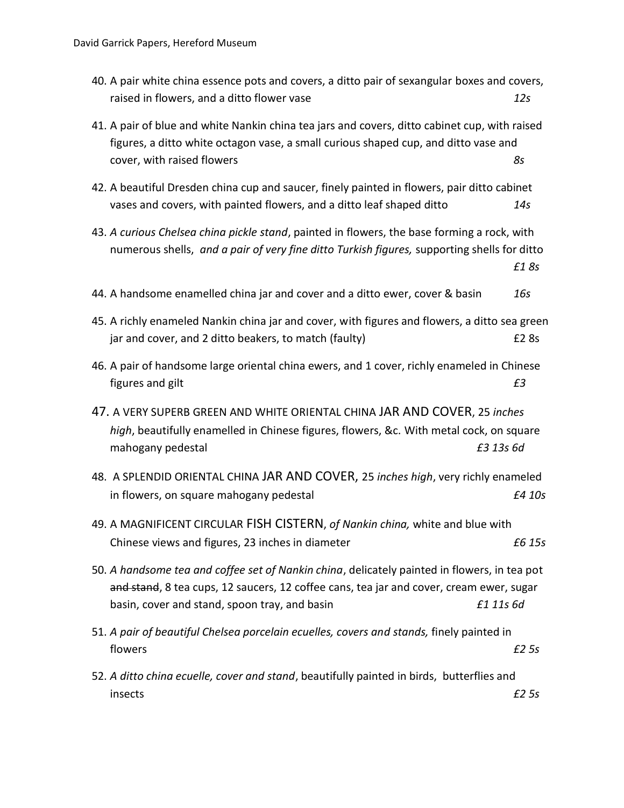- 40. A pair white china essence pots and covers, a ditto pair of sexangular boxes and covers, raised in flowers, and a ditto flower vase *12s*
- 41. A pair of blue and white Nankin china tea jars and covers, ditto cabinet cup, with raised figures, a ditto white octagon vase, a small curious shaped cup, and ditto vase and cover, with raised flowers *8s*
- 42. A beautiful Dresden china cup and saucer, finely painted in flowers, pair ditto cabinet vases and covers, with painted flowers, and a ditto leaf shaped ditto *14s*
- 43. *A curious Chelsea china pickle stand*, painted in flowers, the base forming a rock, with numerous shells, *and a pair of very fine ditto Turkish figures,* supporting shells for ditto *£1 8s*
- 44. A handsome enamelled china jar and cover and a ditto ewer, cover & basin *16s*
- 45. A richly enameled Nankin china jar and cover, with figures and flowers, a ditto sea green jar and cover, and 2 ditto beakers, to match (faulty)  $\epsilon$  2 8s
- 46. A pair of handsome large oriental china ewers, and 1 cover, richly enameled in Chinese figures and gilt *£3*
- 47. A VERY SUPERB GREEN AND WHITE ORIENTAL CHINA JAR AND COVER, 25 *inches high*, beautifully enamelled in Chinese figures, flowers, &c. With metal cock, on square mahogany pedestal *£3 13s 6d*
- 48. A SPLENDID ORIENTAL CHINA JAR AND COVER, 25 *inches high*, very richly enameled in flowers, on square mahogany pedestal *£4 10s*
- 49. A MAGNIFICENT CIRCULAR FISH CISTERN, *of Nankin china,* white and blue with Chinese views and figures, 23 inches in diameter *£6 15s*
- 50. *A handsome tea and coffee set of Nankin china*, delicately painted in flowers, in tea pot and stand, 8 tea cups, 12 saucers, 12 coffee cans, tea jar and cover, cream ewer, sugar basin, cover and stand, spoon tray, and basin *£1 11s 6d*
- 51. *A pair of beautiful Chelsea porcelain ecuelles, covers and stands,* finely painted in flowers *£2 5s*
- 52. *A ditto china ecuelle, cover and stand*, beautifully painted in birds, butterflies and insects *£2 5s*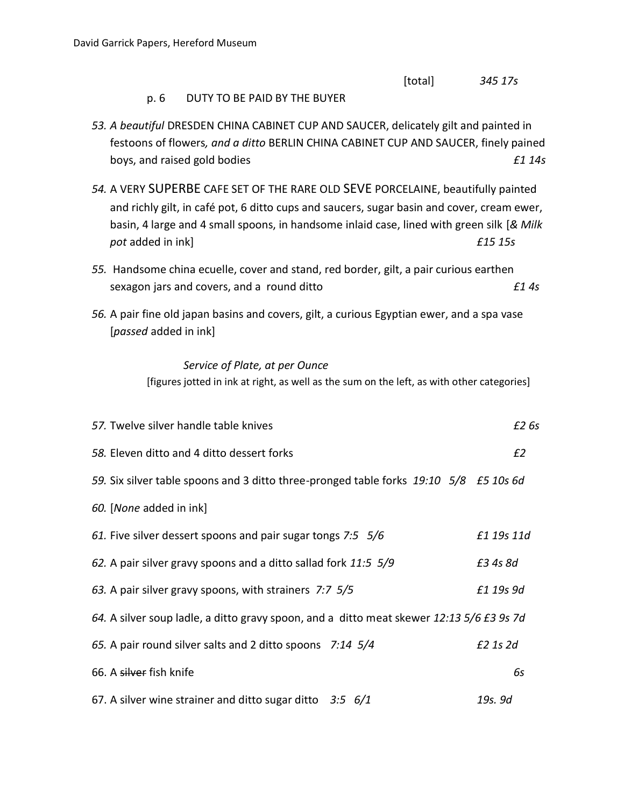|                                                                                                                                                                                                                                                                                                  | [total] | 345 17s        |
|--------------------------------------------------------------------------------------------------------------------------------------------------------------------------------------------------------------------------------------------------------------------------------------------------|---------|----------------|
| DUTY TO BE PAID BY THE BUYER<br>p. 6                                                                                                                                                                                                                                                             |         |                |
| 53. A beautiful DRESDEN CHINA CABINET CUP AND SAUCER, delicately gilt and painted in<br>festoons of flowers, and a ditto BERLIN CHINA CABINET CUP AND SAUCER, finely pained<br>boys, and raised gold bodies                                                                                      |         | £1 14s         |
| 54. A VERY SUPERBE CAFE SET OF THE RARE OLD SEVE PORCELAINE, beautifully painted<br>and richly gilt, in café pot, 6 ditto cups and saucers, sugar basin and cover, cream ewer,<br>basin, 4 large and 4 small spoons, in handsome inlaid case, lined with green silk [& Milk<br>pot added in ink] |         | £15 15s        |
| 55. Handsome china ecuelle, cover and stand, red border, gilt, a pair curious earthen<br>sexagon jars and covers, and a round ditto                                                                                                                                                              |         | f14s           |
| 56. A pair fine old japan basins and covers, gilt, a curious Egyptian ewer, and a spa vase<br>[passed added in ink]                                                                                                                                                                              |         |                |
| Service of Plate, at per Ounce<br>[figures jotted in ink at right, as well as the sum on the left, as with other categories]                                                                                                                                                                     |         |                |
| 57. Twelve silver handle table knives                                                                                                                                                                                                                                                            |         | £2 6s          |
| 58. Eleven ditto and 4 ditto dessert forks                                                                                                                                                                                                                                                       |         | E <sub>2</sub> |
| 59. Six silver table spoons and 3 ditto three-pronged table forks 19:10 5/8 £5 10s 6d                                                                                                                                                                                                            |         |                |
| 60. [None added in ink]                                                                                                                                                                                                                                                                          |         |                |
| 61. Five silver dessert spoons and pair sugar tongs 7:5 5/6                                                                                                                                                                                                                                      |         | £1 19s 11d     |
| 62. A pair silver gravy spoons and a ditto sallad fork 11:5 5/9                                                                                                                                                                                                                                  |         | £3 4s 8d       |
| 63. A pair silver gravy spoons, with strainers 7:7 5/5                                                                                                                                                                                                                                           |         | £1 19s 9d      |
| 64. A silver soup ladle, a ditto gravy spoon, and a ditto meat skewer 12:13 5/6 £3 9s 7d                                                                                                                                                                                                         |         |                |
| 65. A pair round silver salts and 2 ditto spoons 7:14 5/4                                                                                                                                                                                                                                        |         | £2 1s 2d       |
| 66. A silver fish knife                                                                                                                                                                                                                                                                          |         | 6s             |
| 67. A silver wine strainer and ditto sugar ditto $3.5$ 6/1                                                                                                                                                                                                                                       |         | 19s. 9d        |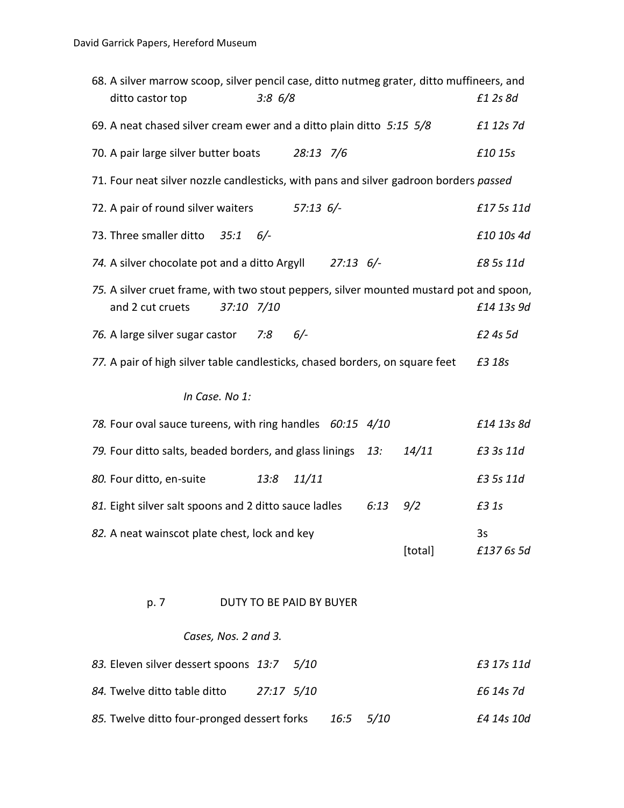| 68. A silver marrow scoop, silver pencil case, ditto nutmeg grater, ditto muffineers, and<br>ditto castor top | 3:86/8                          |       |      |         | £1 2s 8d         |
|---------------------------------------------------------------------------------------------------------------|---------------------------------|-------|------|---------|------------------|
| 69. A neat chased silver cream ewer and a ditto plain ditto 5:15 5/8                                          |                                 |       |      |         | £1 12s 7d        |
| 70. A pair large silver butter boats 28:13 7/6                                                                |                                 |       |      |         | £10 15s          |
| 71. Four neat silver nozzle candlesticks, with pans and silver gadroon borders passed                         |                                 |       |      |         |                  |
| 72. A pair of round silver waiters 57:13 6/-                                                                  |                                 |       |      |         | £17 5s 11d       |
| 73. Three smaller ditto 35:1                                                                                  | $6/-$                           |       |      |         | £10 10s 4d       |
| 74. A silver chocolate pot and a ditto Argyll 27:13 6/-                                                       |                                 |       |      |         | £8 5s 11d        |
| 75. A silver cruet frame, with two stout peppers, silver mounted mustard pot and spoon,<br>and 2 cut cruets   | 37:10 7/10                      |       |      |         | £14 13s 9d       |
| 76. A large silver sugar castor 7:8 6/-                                                                       |                                 |       |      |         | £2 4s 5d         |
| 77. A pair of high silver table candlesticks, chased borders, on square feet                                  |                                 |       |      |         | £3 18s           |
| In Case. No 1:                                                                                                |                                 |       |      |         |                  |
| 78. Four oval sauce tureens, with ring handles 60:15 4/10                                                     |                                 |       |      |         | £14 13s 8d       |
| 79. Four ditto salts, beaded borders, and glass linings 13:                                                   |                                 |       |      | 14/11   | £3 3s 11d        |
| 80. Four ditto, en-suite                                                                                      | 13:8                            | 11/11 |      |         | £3 5s 11d        |
| 81. Eight silver salt spoons and 2 ditto sauce ladles                                                         |                                 |       | 6:13 | 9/2     | £3 1s            |
| 82. A neat wainscot plate chest, lock and key                                                                 |                                 |       |      | [total] | 3s<br>£137 6s 5d |
| p. 7                                                                                                          | <b>DUTY TO BE PAID BY BUYER</b> |       |      |         |                  |

# *Cases, Nos. 2 and 3.*

| 83. Eleven silver dessert spoons 13:7 5/10            |            |  | £3 17s 11d |
|-------------------------------------------------------|------------|--|------------|
| 84. Twelve ditto table ditto                          | 27:17 5/10 |  | £6 14s 7d  |
| 85. Twelve ditto four-pronged dessert forks 16:5 5/10 |            |  | £4 14s 10d |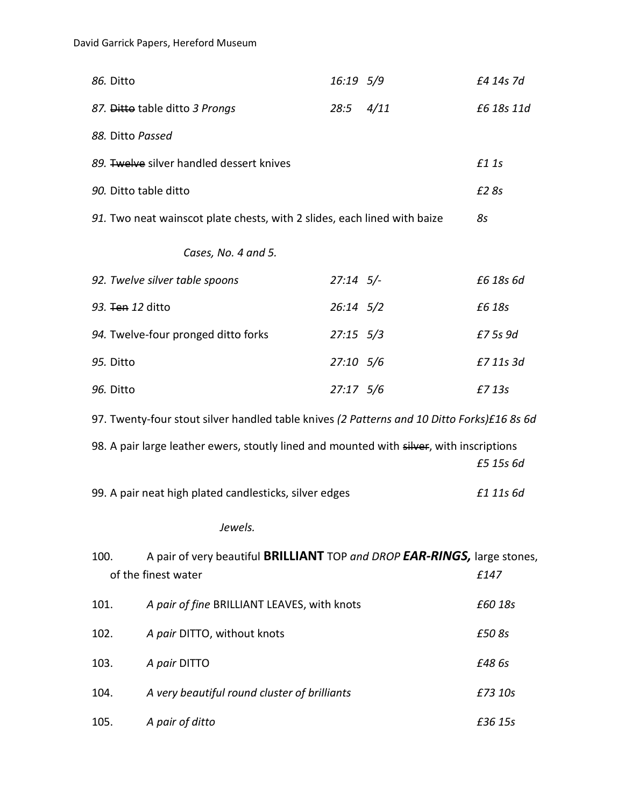| 86. Ditto             |                                                                                                 | 16:19 5/9         |      | £4 14s 7d  |
|-----------------------|-------------------------------------------------------------------------------------------------|-------------------|------|------------|
|                       | 87. Ditto table ditto 3 Prongs                                                                  | 28:5              | 4/11 | £6 18s 11d |
| 88. Ditto Passed      |                                                                                                 |                   |      |            |
|                       | 89. Twelve silver handled dessert knives                                                        |                   |      | £1 1s      |
| 90. Ditto table ditto |                                                                                                 |                   |      | £2 8s      |
|                       | 91. Two neat wainscot plate chests, with 2 slides, each lined with baize                        |                   |      | 85         |
|                       | Cases, No. 4 and 5.                                                                             |                   |      |            |
|                       | 92. Twelve silver table spoons                                                                  | $27:14$ 5/-       |      | £6 18s 6d  |
| 93. Ten 12 ditto      |                                                                                                 | $26:14$ $5/2$     |      | £6 18s     |
|                       | 94. Twelve-four pronged ditto forks                                                             | $27:15 \quad 5/3$ |      | £7 5s 9d   |
| 95. Ditto             |                                                                                                 | 27:10 5/6         |      | £7 11s 3d  |
| 96. Ditto             |                                                                                                 | 27:17 5/6         |      | £7 13s     |
|                       | 97. Twenty-four stout silver handled table knives (2 Patterns and 10 Ditto Forks)£16 8s 6d      |                   |      |            |
|                       | 98. A pair large leather ewers, stoutly lined and mounted with silver, with inscriptions        |                   |      | £5 15s 6d  |
|                       | 99. A pair neat high plated candlesticks, silver edges                                          |                   |      | £1 11s 6d  |
|                       | Jewels.                                                                                         |                   |      |            |
| 100.                  | A pair of very beautiful BRILLIANT TOP and DROP EAR-RINGS, large stones,<br>of the finest water |                   |      | £147       |
| 101.                  | A pair of fine BRILLIANT LEAVES, with knots                                                     |                   |      | £60 18s    |
| 102.                  | A pair DITTO, without knots                                                                     |                   |      | £50 8s     |
| 103.                  | A pair DITTO                                                                                    |                   |      | £48 6s     |
| 104.                  | A very beautiful round cluster of brilliants                                                    |                   |      | £73 10s    |
| 105.                  | A pair of ditto                                                                                 |                   |      | £36 15s    |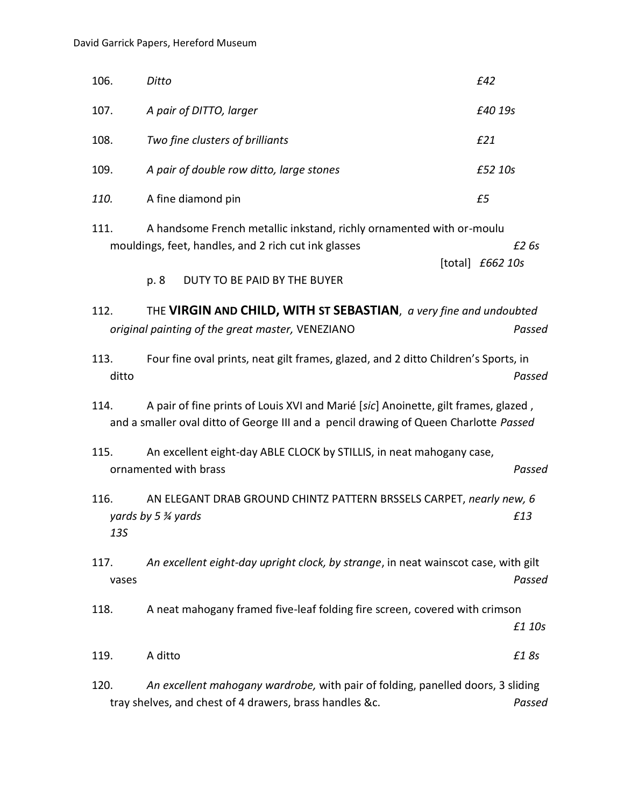| 106.                                                                                                                                                                                | Ditto                                                                                                                                                                | £42                         |  |  |
|-------------------------------------------------------------------------------------------------------------------------------------------------------------------------------------|----------------------------------------------------------------------------------------------------------------------------------------------------------------------|-----------------------------|--|--|
| 107.                                                                                                                                                                                | A pair of DITTO, larger                                                                                                                                              | £40 19s                     |  |  |
| 108.                                                                                                                                                                                | Two fine clusters of brilliants                                                                                                                                      | E21                         |  |  |
| 109.                                                                                                                                                                                | A pair of double row ditto, large stones                                                                                                                             | £52 10s                     |  |  |
| 110.                                                                                                                                                                                | A fine diamond pin                                                                                                                                                   | £5                          |  |  |
| 111.                                                                                                                                                                                | A handsome French metallic inkstand, richly ornamented with or-moulu<br>mouldings, feet, handles, and 2 rich cut ink glasses<br>p. 8<br>DUTY TO BE PAID BY THE BUYER | £2 6s<br>[total] $£662 10s$ |  |  |
| 112.                                                                                                                                                                                | THE VIRGIN AND CHILD, WITH ST SEBASTIAN, a very fine and undoubted<br>original painting of the great master, VENEZIANO                                               | Passed                      |  |  |
| Four fine oval prints, neat gilt frames, glazed, and 2 ditto Children's Sports, in<br>113.<br>ditto<br>Passed                                                                       |                                                                                                                                                                      |                             |  |  |
| A pair of fine prints of Louis XVI and Marié [sic] Anoinette, gilt frames, glazed,<br>114.<br>and a smaller oval ditto of George III and a pencil drawing of Queen Charlotte Passed |                                                                                                                                                                      |                             |  |  |
| 115.                                                                                                                                                                                | An excellent eight-day ABLE CLOCK by STILLIS, in neat mahogany case,<br>ornamented with brass                                                                        | Passed                      |  |  |
| 116.<br><b>13S</b>                                                                                                                                                                  | AN ELEGANT DRAB GROUND CHINTZ PATTERN BRSSELS CARPET, nearly new, 6<br>yards by 5 $\frac{3}{4}$ yards                                                                | £13                         |  |  |
| 117.<br>vases                                                                                                                                                                       | An excellent eight-day upright clock, by strange, in neat wainscot case, with gilt                                                                                   | Passed                      |  |  |
| 118.                                                                                                                                                                                | A neat mahogany framed five-leaf folding fire screen, covered with crimson                                                                                           | £1 10s                      |  |  |
| 119.                                                                                                                                                                                | A ditto                                                                                                                                                              | £18s                        |  |  |
| 120.                                                                                                                                                                                | An excellent mahogany wardrobe, with pair of folding, panelled doors, 3 sliding<br>tray shelves, and chest of 4 drawers, brass handles &c.                           | Passed                      |  |  |